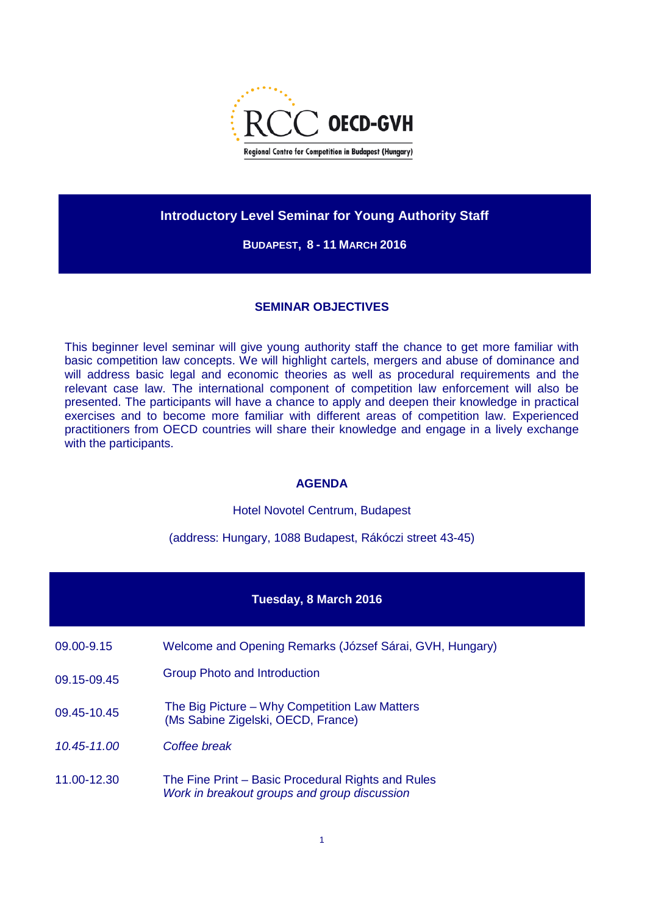

# **Introductory Level Seminar for Young Authority Staff**

### **BUDAPEST, 8 - 11 MARCH 2016**

### **SEMINAR OBJECTIVES**

This beginner level seminar will give young authority staff the chance to get more familiar with basic competition law concepts. We will highlight cartels, mergers and abuse of dominance and will address basic legal and economic theories as well as procedural requirements and the relevant case law. The international component of competition law enforcement will also be presented. The participants will have a chance to apply and deepen their knowledge in practical exercises and to become more familiar with different areas of competition law. Experienced practitioners from OECD countries will share their knowledge and engage in a lively exchange with the participants.

### **AGENDA**

Hotel Novotel Centrum, Budapest

(address: Hungary, 1088 Budapest, Rákóczi street 43-45)

### **Tuesday, 8 March 2016**

- 09.00-9.15 Welcome and Opening Remarks (József Sárai, GVH, Hungary)
- 09.15-09.45 Group Photo and Introduction
- 09.45-10.45 The Big Picture Why Competition Law Matters (Ms Sabine Zigelski, OECD, France)
- *10.45-11.00 Coffee break*
- 11.00-12.30 The Fine Print Basic Procedural Rights and Rules *Work in breakout groups and group discussion*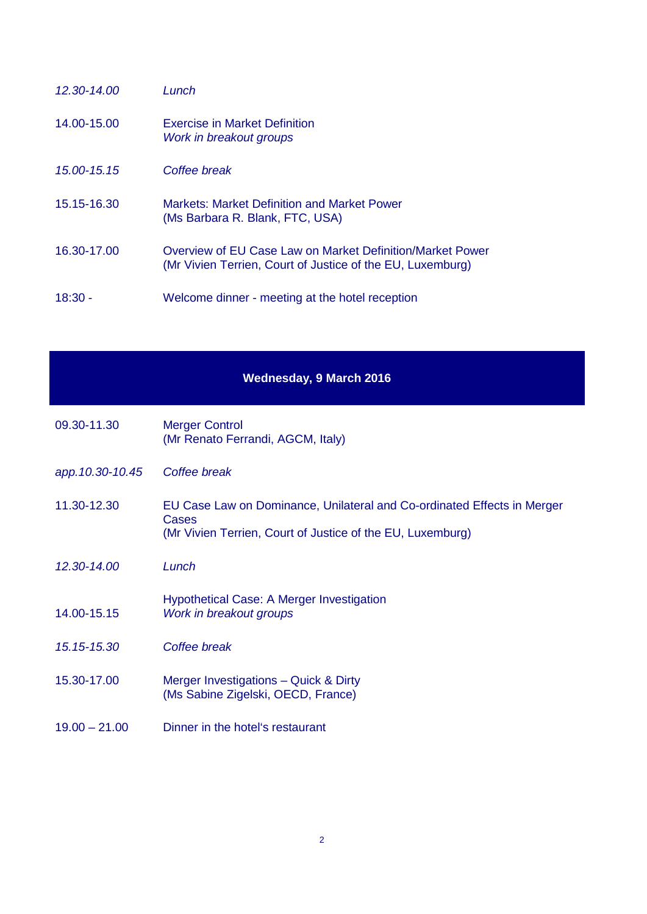| $12.30 - 14.00$ | Lunch                                                                                                                   |
|-----------------|-------------------------------------------------------------------------------------------------------------------------|
| 14.00-15.00     | <b>Exercise in Market Definition</b><br>Work in breakout groups                                                         |
| 15.00-15.15     | Coffee break                                                                                                            |
| 15.15-16.30     | Markets: Market Definition and Market Power<br>(Ms Barbara R. Blank, FTC, USA)                                          |
| 16.30-17.00     | Overview of EU Case Law on Market Definition/Market Power<br>(Mr Vivien Terrien, Court of Justice of the EU, Luxemburg) |
| 18:30 -         | Welcome dinner - meeting at the hotel reception                                                                         |

## **Wednesday, 9 March 2016**

- 09.30-11.30 Merger Control (Mr Renato Ferrandi, AGCM, Italy)
- *app.10.30-10.45 Coffee break*
- 11.30-12.30 EU Case Law on Dominance, Unilateral and Co-ordinated Effects in Merger Cases (Mr Vivien Terrien, Court of Justice of the EU, Luxemburg)
- *12.30-14.00 Lunch*
- 14.00-15.15 Hypothetical Case: A Merger Investigation *Work in breakout groups*
- *15.15-15.30 Coffee break*
- 15.30-17.00 Merger Investigations Quick & Dirty (Ms Sabine Zigelski, OECD, France)
- 19.00 21.00 Dinner in the hotel's restaurant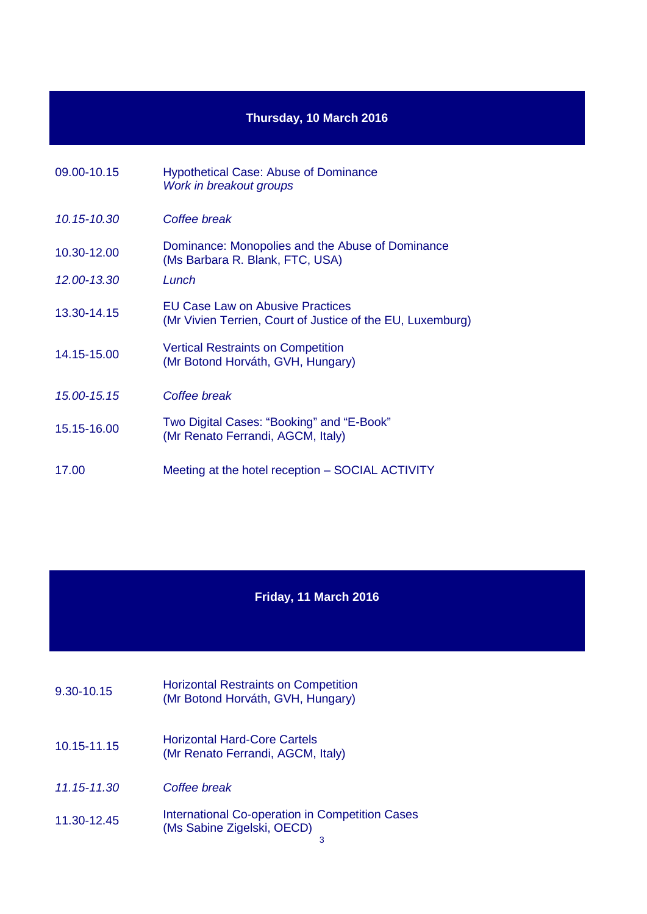# **Thursday, 10 March 2016**

| 09.00-10.15 | <b>Hypothetical Case: Abuse of Dominance</b><br>Work in breakout groups                        |
|-------------|------------------------------------------------------------------------------------------------|
| 10.15-10.30 | Coffee break                                                                                   |
| 10.30-12.00 | Dominance: Monopolies and the Abuse of Dominance<br>(Ms Barbara R. Blank, FTC, USA)            |
| 12.00-13.30 | Lunch                                                                                          |
| 13.30-14.15 | EU Case Law on Abusive Practices<br>(Mr Vivien Terrien, Court of Justice of the EU, Luxemburg) |
| 14.15-15.00 | <b>Vertical Restraints on Competition</b><br>(Mr Botond Horváth, GVH, Hungary)                 |
| 15.00-15.15 | Coffee break                                                                                   |
| 15.15-16.00 | Two Digital Cases: "Booking" and "E-Book"<br>(Mr Renato Ferrandi, AGCM, Italy)                 |
| 17.00       | Meeting at the hotel reception – SOCIAL ACTIVITY                                               |

# **Friday, 11 March 2016**

- 9.30-10.15 Horizontal Restraints on Competition (Mr Botond Horváth, GVH, Hungary)
- 10.15-11.15 Horizontal Hard-Core Cartels (Mr Renato Ferrandi, AGCM, Italy)
- *11.15-11.30 Coffee break*
- 11.30-12.45 International Co-operation in Competition Cases (Ms Sabine Zigelski, OECD)